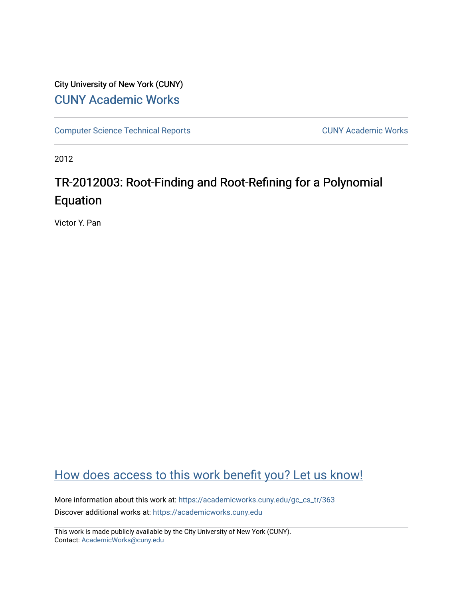# City University of New York (CUNY) [CUNY Academic Works](https://academicworks.cuny.edu/)

[Computer Science Technical Reports](https://academicworks.cuny.edu/gc_cs_tr) **CUNY Academic Works** CUNY Academic Works

2012

# TR-2012003: Root-Finding and Root-Refining for a Polynomial Equation

Victor Y. Pan

# [How does access to this work benefit you? Let us know!](http://ols.cuny.edu/academicworks/?ref=https://academicworks.cuny.edu/gc_cs_tr/363)

More information about this work at: https://academicworks.cuny.edu/gc\_cs\_tr/363 Discover additional works at: [https://academicworks.cuny.edu](https://academicworks.cuny.edu/?)

This work is made publicly available by the City University of New York (CUNY). Contact: [AcademicWorks@cuny.edu](mailto:AcademicWorks@cuny.edu)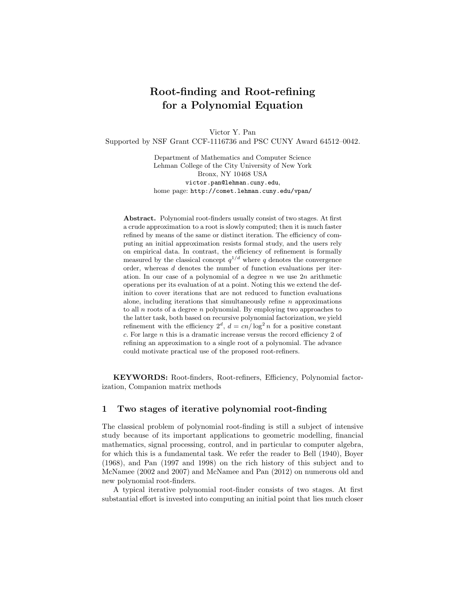## **Root-finding and Root-refining for a Polynomial Equation**

Victor Y. Pan Supported by NSF Grant CCF-1116736 and PSC CUNY Award 64512–0042.

> Department of Mathematics and Computer Science Lehman College of the City University of New York Bronx, NY 10468 USA victor.pan@lehman.cuny.edu, home page: http://comet.lehman.cuny.edu/vpan/

**Abstract.** Polynomial root-finders usually consist of two stages. At first a crude approximation to a root is slowly computed; then it is much faster refined by means of the same or distinct iteration. The efficiency of computing an initial approximation resists formal study, and the users rely on empirical data. In contrast, the efficiency of refinement is formally measured by the classical concept  $q^{1/d}$  where q denotes the convergence order, whereas *d* denotes the number of function evaluations per iteration. In our case of a polynomial of a degree *n* we use 2*n* arithmetic operations per its evaluation of at a point. Noting this we extend the definition to cover iterations that are not reduced to function evaluations alone, including iterations that simultaneously refine *n* approximations to all *n* roots of a degree *n* polynomial. By employing two approaches to the latter task, both based on recursive polynomial factorization, we yield refinement with the efficiency  $2^d$ ,  $d = cn/\log^2 n$  for a positive constant *c*. For large *n* this is a dramatic increase versus the record efficiency 2 of refining an approximation to a single root of a polynomial. The advance could motivate practical use of the proposed root-refiners.

**KEYWORDS:** Root-finders, Root-refiners, Efficiency, Polynomial factorization, Companion matrix methods

#### **1 Two stages of iterative polynomial root-finding**

The classical problem of polynomial root-finding is still a subject of intensive study because of its important applications to geometric modelling, financial mathematics, signal processing, control, and in particular to computer algebra, for which this is a fundamental task. We refer the reader to Bell (1940), Boyer (1968), and Pan (1997 and 1998) on the rich history of this subject and to McNamee (2002 and 2007) and McNamee and Pan (2012) on numerous old and new polynomial root-finders.

A typical iterative polynomial root-finder consists of two stages. At first substantial effort is invested into computing an initial point that lies much closer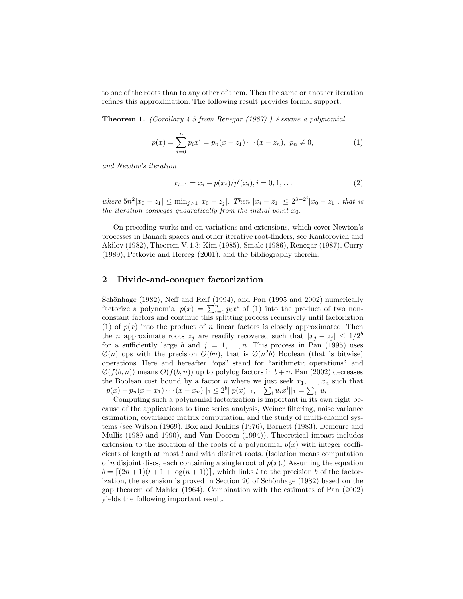to one of the roots than to any other of them. Then the same or another iteration refines this approximation. The following result provides formal support.

**Theorem 1.** *(Corollary 4.5 from Renegar (1987).) Assume a polynomial*

$$
p(x) = \sum_{i=0}^{n} p_i x^i = p_n(x - z_1) \cdots (x - z_n), \ p_n \neq 0,
$$
 (1)

*and Newton's iteration*

$$
x_{i+1} = x_i - p(x_i) / p'(x_i), i = 0, 1, ...
$$
 (2)

*where*  $5n^2|x_0 - z_1| \le \min_{j>1} |x_0 - z_j|$ . Then  $|x_i - z_1| \le 2^{3-2^i}|x_0 - z_1|$ , that is *the iteration conveges quadratically from the initial point*  $x_0$ *.* 

On preceding works and on variations and extensions, which cover Newton's processes in Banach spaces and other iterative root-finders, see Kantorovich and Akilov (1982), Theorem V.4.3; Kim (1985), Smale (1986), Renegar (1987), Curry (1989), Petkovic and Herceg (2001), and the bibliography therein.

#### **2 Divide-and-conquer factorization**

Schönhage (1982), Neff and Reif (1994), and Pan (1995 and 2002) numerically factorize a polynomial  $p(x) = \sum_{i=0}^{n} p_i x^i$  of (1) into the product of two non-<br>constant factors and continue this splitting process recursively until factorization constant factors and continue this splitting process recursively until factoriztion (1) of  $p(x)$  into the product of *n* linear factors is closely approximated. Then the *n* approximate roots  $z_j$  are readily recovered such that  $|x_j - z_j| \leq 1/2^b$ for a sufficiently large *b* and  $j = 1, \ldots, n$ . This process in Pan (1995) uses  $\mathcal{O}(n)$  ops with the precision  $O(bn)$ , that is  $\mathcal{O}(n^2b)$  Boolean (that is bitwise) operations. Here and hereafter "ops" stand for "arithmetic operations" and  $\mathcal{O}(f(b, n))$  means  $O(f(b, n))$  up to polylog factors in  $b + n$ . Pan (2002) decreases the Boolean cost bound by a factor *n* where we just seek  $x_1, \ldots, x_n$  such that  $||p(x) - p_n(x - x_1) \cdots (x - x_n)||_1 \leq 2^b ||p(x)||_1, ||\sum_i u_i x^i||_1 = \sum_i |u_i|.$ 

Computing such a polynomial factorization is important in its own right because of the applications to time series analysis, Weiner filtering, noise variance estimation, covariance matrix computation, and the study of multi-channel systems (see Wilson (1969), Box and Jenkins (1976), Barnett (1983), Demeure and Mullis (1989 and 1990), and Van Dooren (1994)). Theoretical impact includes extension to the isolation of the roots of a polynomial  $p(x)$  with integer coefficients of length at most *l* and with distinct roots. (Isolation means computation of *n* disjoint discs, each containing a single root of  $p(x)$ .) Assuming the equation  $b = \lfloor (2n+1)(l+1+\log(n+1)) \rfloor$ , which links *l* to the precision *b* of the factorization, the extension is proved in Section 20 of Schönhage  $(1982)$  based on the gap theorem of Mahler (1964). Combination with the estimates of Pan (2002) yields the following important result.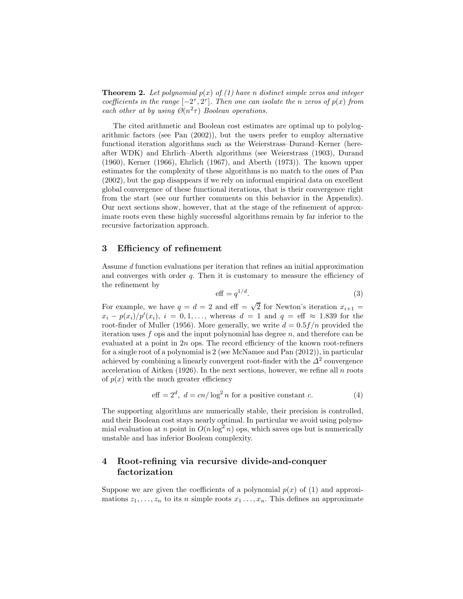**Theorem 2.** Let polynomial  $p(x)$  of (1) have *n* distinct simple zeros and integer *coefficients in the range*  $[-2^{\tau}, 2^{\tau}]$ *. Then one can isolate the n zeros of*  $p(x)$  *from each other at by using*  $\mathcal{O}(n^2 \tau)$  *Boolean operations.* 

The cited arithmetic and Boolean cost estimates are optimal up to polylogarithmic factors (see Pan (2002)), but the users prefer to employ alternative functional iteration algorithms such as the Weierstrass–Durand–Kerner (hereafter WDK) and Ehrlich–Aberth algorithms (see Weierstrass (1903), Durand (1960), Kerner (1966), Ehrlich (1967), and Aberth (1973)). The known upper estimates for the complexity of these algorithms is no match to the ones of Pan (2002), but the gap disappears if we rely on informal empirical data on excellent global convergence of these functional iterations, that is their convergence right from the start (see our further comments on this behavior in the Appendix). Our next sections show, however, that at the stage of the refinement of approximate roots even these highly successful algorithms remain by far inferior to the recursive factorization approach.

#### **3 Efficiency of refinement**

Assume *d* function evaluations per iteration that refines an initial approximation and converges with order *q*. Then it is customary to measure the efficiency of the refinement by

$$
\text{eff} = q^{1/d}.\tag{3}
$$

For example, we have  $q = d = 2$  and eff =  $\sqrt{2}$  for Newton's iteration  $x_{i+1} =$  $x_i - p(x_i)/p'(x_i)$ ,  $i = 0, 1, \ldots$ , whereas  $d = 1$  and  $q = \text{eff} \approx 1.839$  for the root-finder of Muller (1956). More generally, we write  $d = 0.5f/n$  provided the iteration uses *f* ops and the input polynomial has degree *n*, and therefore can be evaluated at a point in 2*n* ops. The record efficiency of the known root-refiners for a single root of a polynomial is 2 (see McNamee and Pan (2012)), in particular achieved by combining a linearly convergent root-finder with the  $\Delta^2$  convergence acceleration of Aitken (1926). In the next sections, however, we refine all *n* roots of  $p(x)$  with the much greater efficiency

eff = 
$$
2^d
$$
,  $d = cn/\log^2 n$  for a positive constant c. (4)

The supporting algorithms are numerically stable, their precision is controlled, and their Boolean cost stays nearly optimal. In particular we avoid using polynomial evaluation at *n* point in  $O(n \log^2 n)$  ops, which saves ops but is numerically unstable and has inferior Boolean complexity.

### **4 Root-refining via recursive divide-and-conquer factorization**

Suppose we are given the coefficients of a polynomial  $p(x)$  of (1) and approximations  $z_1, \ldots, z_n$  to its *n* simple roots  $x_1, \ldots, x_n$ . This defines an approximate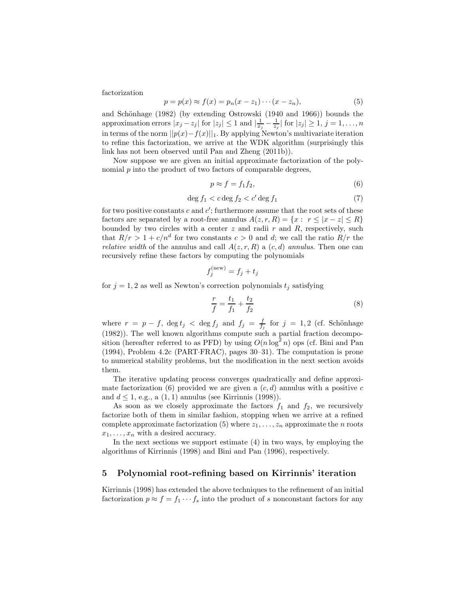factorization

$$
p = p(x) \approx f(x) = p_n(x - z_1) \cdots (x - z_n),
$$
\n<sup>(5)</sup>

and Schönhage  $(1982)$  (by extending Ostrowski  $(1940 \text{ and } 1966)$ ) bounds the approximation errors  $|x_j - z_j|$  for  $|z_j| \leq 1$  and  $|\frac{1}{x_j} - \frac{1}{z_j}|$  for  $|z_j| \geq 1$ ,  $j = 1, ..., n$ in terms of the norm  $||p(x) - f(x)||_1$ . By applying Newton's multivariate iteration to refine this factorization, we arrive at the WDK algorithm (surprisingly this link has not been observed until Pan and Zheng (2011b)).

Now suppose we are given an initial approximate factorization of the polynomial *p* into the product of two factors of comparable degrees,

$$
p \approx f = f_1 f_2,\tag{6}
$$

$$
\deg f_1 < c \deg f_2 < c' \deg f_1 \tag{7}
$$

for two positive constants *c* and *c*<sup>'</sup>; furthermore assume that the root sets of these factors are separated by a root-free annulus  $A(z, r, R) = \{x : r \leq |x - z| \leq R\}$ bounded by two circles with a center  $z$  and radii  $r$  and  $R$ , respectively, such that  $R/r > 1 + c/n^d$  for two constants  $c > 0$  and  $d$ ; we call the ratio  $R/r$  the *relative width* of the annulus and call  $A(z, r, R)$  a  $(c, d)$  *annulus*. Then one can recursively refine these factors by computing the polynomials

$$
f_j^{\text{(new)}} = f_j + t_j
$$

for  $j = 1, 2$  as well as Newton's correction polynomials  $t_j$  satisfying

$$
\frac{r}{f} = \frac{t_1}{f_1} + \frac{t_2}{f_2} \tag{8}
$$

where  $r = p - f$ ,  $\deg t_j < \deg f_j$  and  $f_j = \frac{f}{f_j}$  for  $j = 1, 2$  (cf. Schönhage (1982)). The well known algorithms compute such a partial fraction decomposition (hereafter referred to as PFD) by using  $O(n \log^2 n)$  ops (cf. Bini and Pan (1994), Problem 4.2c (PART·FRAC), pages 30–31). The computation is prone to numerical stability problems, but the modification in the next section avoids them.

The iterative updating process converges quadratically and define approximate factorization (6) provided we are given a  $(c, d)$  annulus with a positive  $c$ and  $d \le 1$ , e.g., a  $(1, 1)$  annulus (see Kirrinnis (1998)).

As soon as we closely approximate the factors  $f_1$  and  $f_2$ , we recursively factorize both of them in similar fashion, stopping when we arrive at a refined complete approximate factorization  $(5)$  where  $z_1, \ldots, z_n$  approximate the *n* roots  $x_1, \ldots, x_n$  with a desired accuracy.

In the next sections we support estimate  $(4)$  in two ways, by employing the algorithms of Kirrinnis (1998) and Bini and Pan (1996), respectively.

#### **5 Polynomial root-refining based on Kirrinnis' iteration**

Kirrinnis (1998) has extended the above techniques to the refinement of an initial factorization  $p \approx f = f_1 \cdots f_s$  into the product of *s* nonconstant factors for any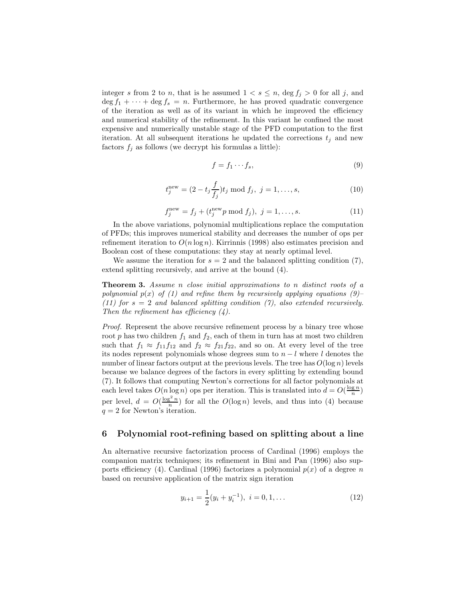integer *s* from 2 to *n*, that is he assumed  $1 < s \le n$ , deg  $f_j > 0$  for all *j*, and  $\deg f_1 + \cdots + \deg f_s = n$ . Furthermore, he has proved quadratic convergence of the iteration as well as of its variant in which he improved the efficiency and numerical stability of the refinement. In this variant he confined the most expensive and numerically unstable stage of the PFD computation to the first iteration. At all subsequent iterations he updated the corrections  $t_i$  and new factors  $f_j$  as follows (we decrypt his formulas a little):

$$
f = f_1 \cdots f_s,\tag{9}
$$

$$
t_j^{\text{new}} = (2 - t_j \frac{f}{f_j}) t_j \text{ mod } f_j, \ j = 1, \dots, s,
$$
 (10)

$$
f_j^{\text{new}} = f_j + (t_j^{\text{new}} p \bmod f_j), \ j = 1, ..., s.
$$
 (11)

In the above variations, polynomial multiplications replace the computation of PFDs; this improves numerical stability and decreases the number of ops per refinement iteration to  $O(n \log n)$ . Kirrinnis (1998) also estimates precision and Boolean cost of these computations: they stay at nearly optimal level.

We assume the iteration for  $s = 2$  and the balanced splitting condition (7), extend splitting recursively, and arrive at the bound (4).

**Theorem 3.** *Assume <sup>n</sup> close initial approximations to <sup>n</sup> distinct roots of a polynomial*  $p(x)$  *of (1) and refine them by recursively applying equations (9)– (11) for s* = 2 *and balanced splitting condition (7), also extended recursively. Then the refinement has efficiency (4).*

*Proof.* Represent the above recursive refinement process by a binary tree whose root  $p$  has two children  $f_1$  and  $f_2$ , each of them in turn has at most two children such that  $f_1 \approx f_{11}f_{12}$  and  $f_2 \approx f_{21}f_{22}$ , and so on. At every level of the tree its nodes represent polynomials whose degrees sum to *n* − *l* where *l* denotes the number of linear factors output at the previous levels. The tree has  $O(\log n)$  levels because we balance degrees of the factors in every splitting by extending bound (7). It follows that computing Newton's corrections for all factor polynomials at each level takes  $O(n \log n)$  ops per iteration. This is translated into  $d = O(\frac{\log n}{n})$ per level,  $d = O(\frac{\log^2 n}{n})$  for all the  $O(\log n)$  levels, and thus into (4) because  $q = 2$  for Newton's iteration.

#### **6 Polynomial root-refining based on splitting about a line**

An alternative recursive factorization process of Cardinal (1996) employs the companion matrix techniques; its refinement in Bini and Pan (1996) also supports efficiency (4). Cardinal (1996) factorizes a polynomial  $p(x)$  of a degree *n* based on recursive application of the matrix sign iteration

$$
y_{i+1} = \frac{1}{2}(y_i + y_i^{-1}), \ i = 0, 1, \dots
$$
 (12)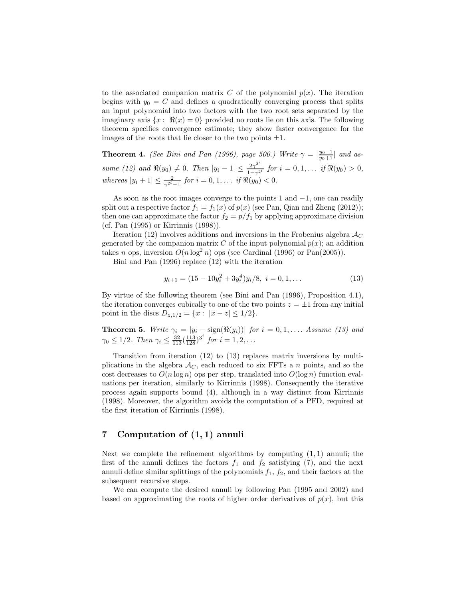to the associated companion matrix *C* of the polynomial  $p(x)$ . The iteration begins with  $y_0 = C$  and defines a quadratically converging process that splits an input polynomial into two factors with the two root sets separated by the imaginary axis  $\{x: \Re(x) = 0\}$  provided no roots lie on this axis. The following theorem specifies convergence estimate; they show faster convergence for the images of the roots that lie closer to the two points  $\pm 1$ .

**Theorem 4.** *(See Bini and Pan (1996), page 500.) Write*  $\gamma = \left| \frac{y_0 - 1}{y_0 + 1} \right|$  *and as* $sume (12)$  and  $\Re(y_0) \neq 0$ . Then  $|y_i - 1| \leq \frac{2\gamma^{2i}}{1-\gamma^{2i}}$  for  $i = 0, 1, \ldots$  *if*  $\Re(y_0) > 0$ , *whereas*  $|y_i + 1| \le \frac{2}{\gamma^{2^i} - 1}$  *for*  $i = 0, 1, \ldots$  *if*  $\Re(y_0) < 0$ *.* 

As soon as the root images converge to the points 1 and −1, one can readily split out a respective factor  $f_1 = f_1(x)$  of  $p(x)$  (see Pan, Qian and Zheng (2012)); then one can approximate the factor  $f_2 = p/f_1$  by applying approximate division (cf. Pan (1995) or Kirrinnis (1998)).

Iteration (12) involves additions and inversions in the Frobenius algebra  $\mathcal{A}_{C}$ generated by the companion matrix *C* of the input polynomial  $p(x)$ ; an addition takes *n* ops, inversion  $O(n \log^2 n)$  ops (see Cardinal (1996) or Pan(2005)).

Bini and Pan (1996) replace (12) with the iteration

$$
y_{i+1} = (15 - 10y_i^2 + 3y_i^4)y_i/8, \ i = 0, 1, \dots
$$
 (13)

By virtue of the following theorem (see Bini and Pan (1996), Proposition 4.1), the iteration converges cubically to one of the two points  $z = \pm 1$  from any initial point in the discs  $D_{z,1/2} = \{x : |x - z| \leq 1/2\}.$ 

**Theorem 5.** Write  $\gamma_i = |y_i - \text{sign}(\Re(y_i))|$  for  $i = 0, 1, ...$  Assume (13) and  $\gamma_0 \le 1/2$ . Then  $\gamma_i \le \frac{32}{113} (\frac{113}{128})^{3^i}$  for  $i = 1, 2, ...$ 

Transition from iteration (12) to (13) replaces matrix inversions by multiplications in the algebra  $A_C$ , each reduced to six FFTs a *n* points, and so the cost decreases to  $O(n \log n)$  ops per step, translated into  $O(\log n)$  function evaluations per iteration, similarly to Kirrinnis (1998). Consequently the iterative process again supports bound (4), although in a way distinct from Kirrinnis (1998). Moreover, the algorithm avoids the computation of a PFD, required at the first iteration of Kirrinnis (1998).

### **7 Computation of (1***,* **1) annuli**

Next we complete the refinement algorithms by computing (1*,* 1) annuli; the first of the annuli defines the factors  $f_1$  and  $f_2$  satisfying (7), and the next annuli define similar splittings of the polynomials *<sup>f</sup>*1, *<sup>f</sup>*2, and their factors at the subsequent recursive steps.

We can compute the desired annuli by following Pan (1995 and 2002) and based on approximating the roots of higher order derivatives of  $p(x)$ , but this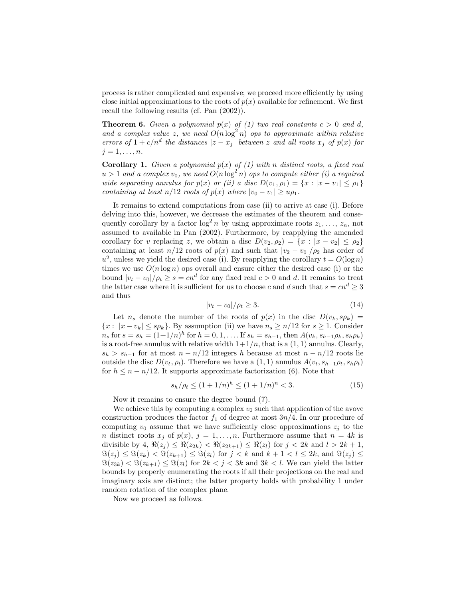process is rather complicated and expensive; we proceed more efficiently by using close initial approximations to the roots of  $p(x)$  available for refinement. We first recall the following results (cf. Pan (2002)).

**Theorem 6.** *Given a polynomial*  $p(x)$  *of (1) two real constants*  $c > 0$  *and d*, and a complex value z, we need  $O(n \log^2 n)$  ops to approximate within relative *errors of*  $1 + c/n^d$  *the distances*  $|z - x_j|$  *between z and all roots*  $x_j$  *of*  $p(x)$  *for*  $j = 1, \ldots, n$ *.* 

**Corollary 1.** *Given a polynomial*  $p(x)$  *of* (1) *with n distinct roots, a fixed real*  $u > 1$  *and a complex*  $v_0$ , we need  $O(n \log^2 n)$  *ops to compute either (i) a required wide separating annulus for*  $p(x)$  *or (ii) a disc*  $D(v_1, \rho_1) = \{x : |x - v_1| \leq \rho_1\}$ *containing at least*  $n/12$  *roots of*  $p(x)$  *where*  $|v_0 - v_1| \geq u\rho_1$ *.* 

It remains to extend computations from case (ii) to arrive at case (i). Before delving into this, however, we decrease the estimates of the theorem and consequently corollary by a factor  $\log^2 n$  by using approximate roots  $z_1, \ldots, z_n$ , not assumed to available in Pan (2002). Furthermore, by reapplying the amended corollary for *v* replacing *z*, we obtain a disc  $D(v_2, \rho_2) = \{x : |x - v_2| \le \rho_2\}$ containing at least *n*/12 roots of  $p(x)$  and such that  $|v_2 - v_0|/\rho_2$  has order of  $u^2$ , unless we yield the desired case (i). By reapplying the corollary  $t = O(\log n)$ times we use  $O(n \log n)$  ops overall and ensure either the desired case (i) or the bound  $|v_t - v_0|/\rho_t \ge s = cn^d$  for any fixed real  $c > 0$  and *d*. It remains to treat the latter case where it is sufficient for us to choose *c* and *d* such that  $s = cn^d \geq 3$ and thus

$$
|v_t - v_0|/\rho_t \ge 3. \tag{14}
$$

Let *n<sub>s</sub>* denote the number of the roots of  $p(x)$  in the disc  $D(v_k, s\rho_k)$  =  ${x: |x - v_k| \le s\rho_k}$ . By assumption (ii) we have  $n_s \ge n/12$  for  $s \ge 1$ . Consider  $n_s$  for  $s = s_h = (1+1/n)^h$  for  $h = 0, 1, \dots$  If  $s_h = s_{h-1}$ , then  $A(v_k, s_{h-1} \rho_k, s_h \rho_k)$ is a root-free annulus with relative width  $1+1/n$ , that is a  $(1, 1)$  annulus. Clearly,  $s_h > s_{h-1}$  for at most  $n - n/12$  integers *h* because at most  $n - n/12$  roots lie outside the disc  $D(v_t, \rho_t)$ . Therefore we have a  $(1, 1)$  annulus  $A(v_t, s_{h-1}\rho_t, s_h\rho_t)$ for  $h \leq n - n/12$ . It supports approximate factorization (6). Note that

$$
s_h/\rho_t \le (1+1/n)^h \le (1+1/n)^n < 3. \tag{15}
$$

Now it remains to ensure the degree bound (7).

We achieve this by computing a complex  $v_0$  such that application of the avove construction produces the factor  $f_1$  of degree at most  $3n/4$ . In our procedure of computing  $v_0$  assume that we have sufficiently close approximations  $z_j$  to the *n* distinct roots  $x_j$  of  $p(x)$ ,  $j = 1, \ldots, n$ . Furthermore assume that  $n = 4k$  is divisible by 4,  $\Re(z_j) \leq \Re(z_{2k}) < \Re(z_{2k+1}) \leq \Re(z_l)$  for  $j < 2k$  and  $l > 2k+1$ ,  $\Im(z_j) \leq \Im(z_k) < \Im(z_{k+1}) \leq \Im(z_l)$  for  $j < k$  and  $k+1 < l \leq 2k$ , and  $\Im(z_j) \leq$  $\Im(z_{3k}) < \Im(z_{k+1}) \leq \Im(z_l)$  for  $2k < j < 3k$  and  $3k < l$ . We can yield the latter bounds by properly enumerating the roots if all their projections on the real and imaginary axis are distinct; the latter property holds with probability 1 under random rotation of the complex plane.

Now we proceed as follows.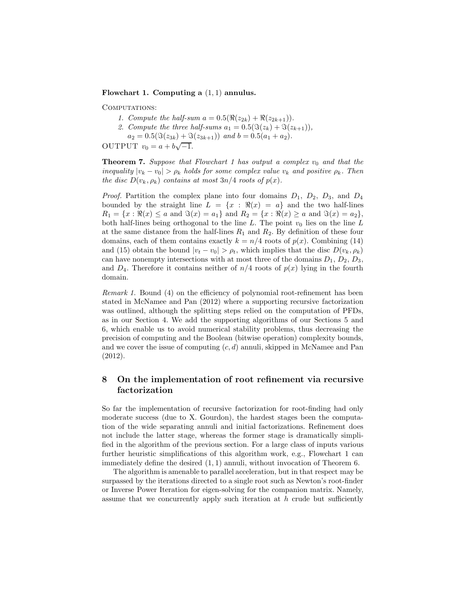#### **Flowchart 1. Computing a** (1*,* 1) **annulus.**

COMPUTATIONS:

- *1. Compute the half-sum*  $a = 0.5(\Re(z_{2k}) + \Re(z_{2k+1}))$ .
- 2. Compute the three half-sums  $a_1 = 0.5(\Im(z_k) + \Im(z_{k+1}))$ ,
- $a_2 = 0.5(\Im(z_{3k}) + \Im(z_{3k+1}))$  *and*  $b = 0.5(a_1 + a_2)$ *.*

OUTPUT  $v_0 = a + b\sqrt{-1}$ .

**Theorem 7.** *Suppose that Flowchart 1 has output a complex*  $v_0$  *and that the inequality*  $|v_k - v_0| > \rho_k$  *holds for some complex value*  $v_k$  *and positive*  $\rho_k$ *. Then the disc*  $D(v_k, \rho_k)$  *contains at most*  $3n/4$  *roots of*  $p(x)$ *.* 

*Proof.* Partition the complex plane into four domains  $D_1$ ,  $D_2$ ,  $D_3$ , and  $D_4$ bounded by the straight line  $L = \{x : \Re(x) = a\}$  and the two half-lines  $R_1 = \{x : \Re(x) \le a \text{ and } \Im(x) = a_1\}$  and  $R_2 = \{x : \Re(x) \ge a \text{ and } \Im(x) = a_2\}$ , both half-lines being orthogonal to the line  $L$ . The point  $v_0$  lies on the line  $L$ at the same distance from the half-lines  $R_1$  and  $R_2$ . By definition of these four domains, each of them contains exactly  $k = n/4$  roots of  $p(x)$ . Combining (14) and (15) obtain the bound  $|v_t - v_0| > \rho_t$ , which implies that the disc  $D(v_k, \rho_k)$ can have nonempty intersections with at most three of the domains  $D_1$ ,  $D_2$ ,  $D_3$ , and  $D_4$ . Therefore it contains neither of  $n/4$  roots of  $p(x)$  lying in the fourth domain.

*Remark 1.* Bound (4) on the efficiency of polynomial root-refinement has been stated in McNamee and Pan (2012) where a supporting recursive factorization was outlined, although the splitting steps relied on the computation of PFDs, as in our Section 4. We add the supporting algorithms of our Sections 5 and 6, which enable us to avoid numerical stability problems, thus decreasing the precision of computing and the Boolean (bitwise operation) complexity bounds, and we cover the issue of computing (*c, d*) annuli, skipped in McNamee and Pan (2012).

### **8 On the implementation of root refinement via recursive factorization**

So far the implementation of recursive factorization for root-finding had only moderate success (due to X. Gourdon), the hardest stages been the computation of the wide separating annuli and initial factorizations. Refinement does not include the latter stage, whereas the former stage is dramatically simplified in the algorithm of the previous section. For a large class of inputs various further heuristic simplifications of this algorithm work, e.g., Flowchart 1 can immediately define the desired (1*,* 1) annuli, without invocation of Theorem 6.

The algorithm is amenable to parallel acceleration, but in that respect may be surpassed by the iterations directed to a single root such as Newton's root-finder or Inverse Power Iteration for eigen-solving for the companion matrix. Namely, assume that we concurrently apply such iteration at *h* crude but sufficiently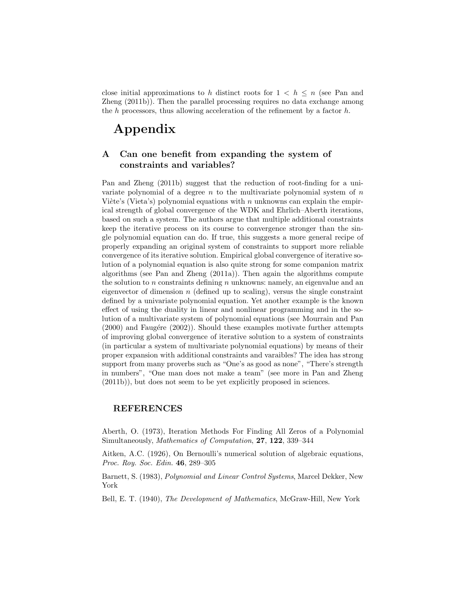close initial approximations to h distinct roots for  $1 < h \leq n$  (see Pan and Zheng (2011b)). Then the parallel processing requires no data exchange among the *h* processors, thus allowing acceleration of the refinement by a factor *h*.

# **Appendix**

### **A Can one benefit from expanding the system of constraints and variables?**

Pan and Zheng (2011b) suggest that the reduction of root-finding for a univariate polynomial of a degree *n* to the multivariate polynomial system of *n* Viète's (Vieta's) polynomial equations with *n* unknowns can explain the empirical strength of global convergence of the WDK and Ehrlich–Aberth iterations, based on such a system. The authors argue that multiple additional constraints keep the iterative process on its course to convergence stronger than the single polynomial equation can do. If true, this suggests a more general recipe of properly expanding an original system of constraints to support more reliable convergence of its iterative solution. Empirical global convergence of iterative solution of a polynomial equation is also quite strong for some companion matrix algorithms (see Pan and Zheng (2011a)). Then again the algorithms compute the solution to *n* constraints defining *n* unknowns: namely, an eigenvalue and an eigenvector of dimension *n* (defined up to scaling), versus the single constraint defined by a univariate polynomial equation. Yet another example is the known effect of using the duality in linear and nonlinear programming and in the solution of a multivariate system of polynomial equations (see Mourrain and Pan  $(2000)$  and Faugére  $(2002)$ ). Should these examples motivate further attempts of improving global convergence of iterative solution to a system of constraints (in particular a system of multivariate polynomial equations) by means of their proper expansion with additional constraints and varaibles? The idea has strong support from many proverbs such as "One's as good as none", "There's strength in numbers", "One man does not make a team" (see more in Pan and Zheng (2011b)), but does not seem to be yet explicitly proposed in sciences.

#### **REFERENCES**

Aberth, O. (1973), Iteration Methods For Finding All Zeros of a Polynomial Simultaneously, *Mathematics of Computation*, **27**, **122**, 339–344

Aitken, A.C. (1926), On Bernoulli's numerical solution of algebraic equations, *Proc. Roy. Soc. Edin.* **46**, 289–305

Barnett, S. (1983), *Polynomial and Linear Control Systems*, Marcel Dekker, New York

Bell, E. T. (1940), *The Development of Mathematics*, McGraw-Hill, New York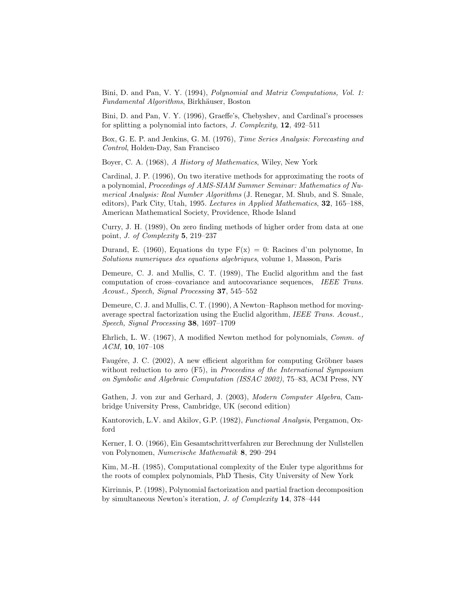Bini, D. and Pan, V. Y. (1994), *Polynomial and Matrix Computations, Vol. 1: Fundamental Algorithms*, Birkhäuser, Boston

Bini, D. and Pan, V. Y. (1996), Graeffe's, Chebyshev, and Cardinal's processes for splitting a polynomial into factors, *J. Complexity*, **12**, 492–511

Box, G. E. P. and Jenkins, G. M. (1976), *Time Series Analysis: Forecasting and Control*, Holden-Day, San Francisco

Boyer, C. A. (1968), *A History of Mathematics*, Wiley, New York

Cardinal, J. P. (1996), On two iterative methods for approximating the roots of a polynomial, *Proceedings of AMS-SIAM Summer Seminar: Mathematics of Numerical Analysis: Real Number Algorithms* (J. Renegar, M. Shub, and S. Smale, editors), Park City, Utah, 1995. *Lectures in Applied Mathematics*, **32**, 165–188, American Mathematical Society, Providence, Rhode Island

Curry, J. H. (1989), On zero finding methods of higher order from data at one point, *J. of Complexity* **5**, 219–237

Durand, E. (1960), Equations du type  $F(x) = 0$ : Racines d'un polynome, In *Solutions numeriques des equations algebriques*, volume 1, Masson, Paris

Demeure, C. J. and Mullis, C. T. (1989), The Euclid algorithm and the fast computation of cross–covariance and autocovariance sequences, *IEEE Trans. Acoust., Speech, Signal Processing* **37**, 545–552

Demeure, C. J. and Mullis, C. T. (1990), A Newton–Raphson method for movingaverage spectral factorization using the Euclid algorithm, *IEEE Trans. Acoust., Speech, Signal Processing* **38**, 1697–1709

Ehrlich, L. W. (1967), A modified Newton method for polynomials, *Comm. of ACM*, **10**, 107–108

Faugére, J. C.  $(2002)$ , A new efficient algorithm for computing Gröbner bases without reduction to zero (F5), in *Proceedins of the International Symposium on Symbolic and Algebraic Computation (ISSAC 2002)*, 75–83, ACM Press, NY

Gathen, J. von zur and Gerhard, J. (2003), *Modern Computer Algebra*, Cambridge University Press, Cambridge, UK (second edition)

Kantorovich, L.V. and Akilov, G.P. (1982), *Functional Analysis*, Pergamon, Oxford

Kerner, I. O. (1966), Ein Gesamtschrittverfahren zur Berechnung der Nullstellen von Polynomen, *Numerische Mathematik* **8**, 290–294

Kim, M.-H. (1985), Computational complexity of the Euler type algorithms for the roots of complex polynomials, PhD Thesis, City University of New York

Kirrinnis, P. (1998), Polynomial factorization and partial fraction decomposition by simultaneous Newton's iteration, *J. of Complexity* **14**, 378–444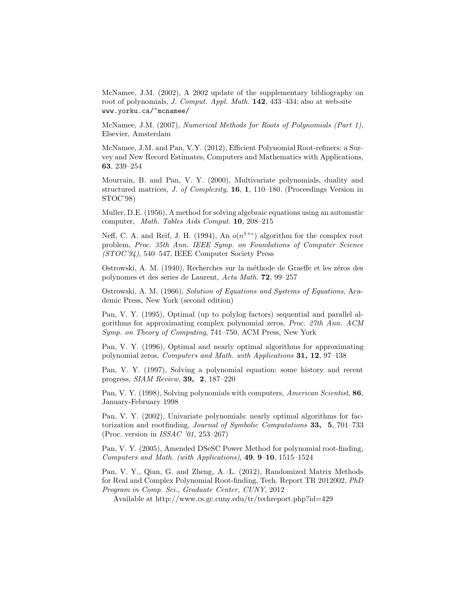McNamee, J.M. (2002), A 2002 update of the supplementary bibliography on root of polynomials, *J. Comput. Appl. Math.* **142**, 433–434; also at web-site www.yorku.ca/~mcnamee/

McNamee, J.M. (2007), *Numerical Methods for Roots of Polynomials (Part 1)*, Elsevier, Amsterdam

McNamee, J.M. and Pan, V.Y. (2012), Efficient Polynomial Root-refiners: a Survey and New Record Estimates, Computers and Mathematics with Applications, **63**, 239–254

Mourrain, B. and Pan, V. Y. (2000), Multivariate polynomials, duality and structured matrices, *J. of Complexity*, **16**, **1**, 110–180. (Proceedings Version in STOC'98)

Muller, D.E. (1956), A method for solving algebraic equations using an automatic computer, *Math. Tables Aids Comput.* **10**, 208–215

Neff, C. A. and Reif, J. H. (1994), An  $o(n^{1+\epsilon})$  algorithm for the complex root problem, *Proc. 35th Ann. IEEE Symp. on Foundations of Computer Science (STOC'94)*, 540–547, IEEE Computer Society Press

Ostrowski, A. M. (1940), Recherches sur la méthode de Graeffe et les zéros des polynomes et des series de Laurent, *Acta Math.* **72**, 99–257

Ostrowski, A. M. (1966), *Solution of Equations and Systems of Equations*, Academic Press, New York (second edition)

Pan, V. Y. (1995), Optimal (up to polylog factors) sequential and parallel algorithms for approximating complex polynomial zeros, *Proc. 27th Ann. ACM Symp. on Theory of Computing*, 741–750, ACM Press, New York

Pan, V. Y. (1996), Optimal and nearly optimal algorithms for approximating polynomial zeros, *Computers and Math. with Applications* **31, 12**, 97–138

Pan, V. Y. (1997), Solving a polynomial equation: some history and recent progress, *SIAM Review*, **39, 2**, 187–220

Pan, V. Y. (1998), Solving polynomials with computers, *American Scientist*, **86**, January-February 1998

Pan, V. Y. (2002), Univariate polynomials: nearly optimal algorithms for factorization and rootfinding, *Journal of Symbolic Computations* **33, 5**, 701–733 (Proc. version in *ISSAC '01*, 253–267)

Pan, V. Y. (2005), Amended DSeSC Power Method for polynomial root-finding, *Computers and Math. (with Applications)*, **49**, **9**–**10**, 1515–1524

Pan, V. Y., Qian, G. and Zheng, A.–L. (2012), Randomized Matrix Methods for Real and Complex Polynomial Root-finding, Tech. Report TR 2012002, *PhD Program in Comp. Sci.*, *Graduate Center, CUNY*, 2012

Available at http://www.cs.gc.cuny.edu/tr/techreport.php?id=429